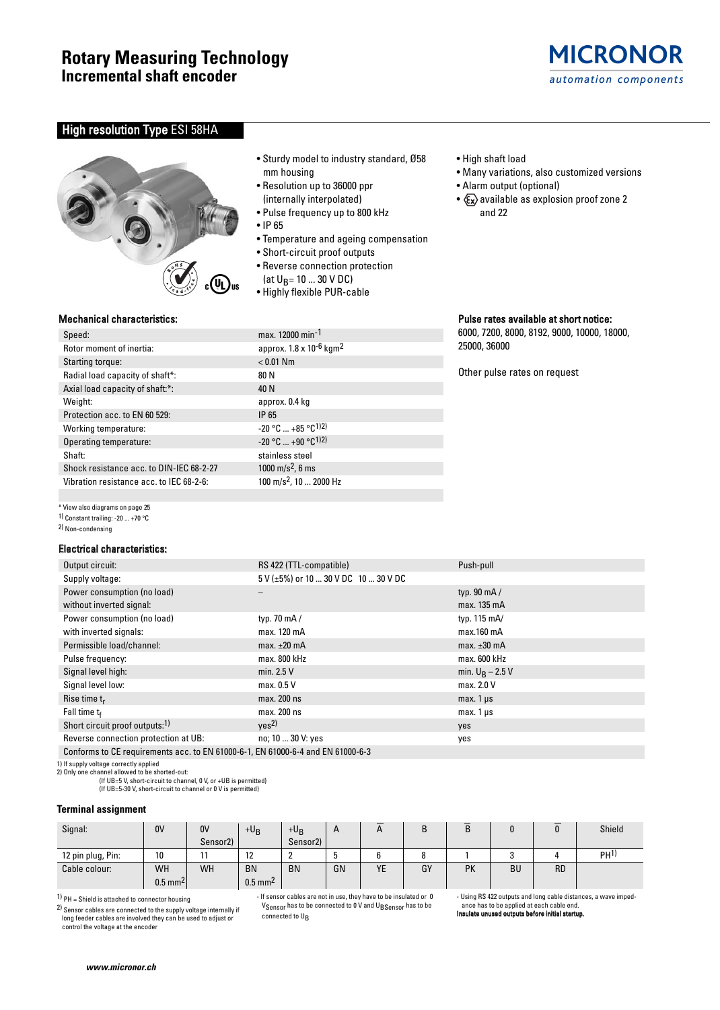

# High resolution Type ESI 58HA



Speed: max. 12000 min-1 Rotor moment of inertia: approx. 1.8 x 10<sup>-6</sup> kgm<sup>2</sup>

Starting torque:  $< 0.01$  Nm Radial load capacity of shaft\*: 80 N Axial load capacity of shaft:\*: 40 N

### Mechanical characteristics:

## • Sturdy model to industry standard, Ø58 mm housing

- Resolution up to 36000 ppr (internally interpolated)
- Pulse frequency up to 800 kHz
- IP 65
- Temperature and ageing compensation
- Short-circuit proof outputs
- Reverse connection protection (at  $U_B$ = 10 ... 30 V DC)
- Highly flexible PUR-cable

 $-20$  °C  $... +85$  °C<sup>1)2)</sup>  $-20 °C ... +90 °C^{1/2}$ stainless steel 1000 m/s<sup>2</sup>, 6 ms 100 m/s<sup>2</sup>, 10 ... 2000 Hz

- High shaft load
- Many variations, also customized versions
- Alarm output (optional)
- $x \rightarrow \infty$  available as explosion proof zone 2 and 22

# Pulse rates available at short notice:

6000, 7200, 8000, 8192, 9000, 10000, 18000, 25000, 36000

Other pulse rates on request

| Weight:                                  | approx. 0.4 kg              |
|------------------------------------------|-----------------------------|
| Protection acc. to EN 60 529:            | IP 65                       |
| Working temperature:                     | $-20$ °C $$ +85 °           |
| Operating temperature:                   | $-20$ °C $$ +90 °           |
| Shaft:                                   | stainless stee              |
| Shock resistance acc. to DIN-IEC 68-2-27 | 1000 m/s <sup>2</sup> , 6 m |
| Vihration resistance acc. to IEC 68-2-6: | $100 \text{ m/s}^2$ 10      |

\* View also diagrams on page 25

1) Constant trailing: -20 ... +70 °C

2) Non-condensing

#### Electrical characteristics:

| Output circuit:                                                                 | RS 422 (TTL-compatible)              | Push-pull            |  |  |  |  |  |
|---------------------------------------------------------------------------------|--------------------------------------|----------------------|--|--|--|--|--|
| Supply voltage:                                                                 | 5 V (±5%) or 10  30 V DC 10  30 V DC |                      |  |  |  |  |  |
| Power consumption (no load)                                                     |                                      | typ. $90 \text{ mA}$ |  |  |  |  |  |
| without inverted signal:                                                        |                                      | max. 135 mA          |  |  |  |  |  |
| Power consumption (no load)                                                     | typ. 70 $mA/$                        | typ. 115 mA/         |  |  |  |  |  |
| with inverted signals:                                                          | max. 120 mA                          | max.160 mA           |  |  |  |  |  |
| Permissible load/channel:                                                       | max. $\pm 20$ mA                     | max. $\pm 30$ mA     |  |  |  |  |  |
| Pulse frequency:                                                                | max. 800 kHz                         | max. 600 kHz         |  |  |  |  |  |
| Signal level high:                                                              | min. $2.5V$                          | min. $U_R - 2.5 V$   |  |  |  |  |  |
| Signal level low:                                                               | max. 0.5 V                           | max. 2.0 V           |  |  |  |  |  |
| Rise time $t_r$                                                                 | max. 200 ns                          | max. $1 \mu s$       |  |  |  |  |  |
| Fall time $t_f$                                                                 | max. 200 ns                          | $max.1 \,\mu s$      |  |  |  |  |  |
| Short circuit proof outputs: <sup>1)</sup>                                      | yes <sup>2</sup>                     | yes                  |  |  |  |  |  |
| Reverse connection protection at UB:                                            | no; 10  30 V: yes                    | yes                  |  |  |  |  |  |
| Conforms to CE requirements acc. to EN 61000-6-1, EN 61000-6-4 and EN 61000-6-3 |                                      |                      |  |  |  |  |  |

1) If supply voltage correctly applied

2) Only one channel allowed to be shorted-out:

(If UB=5 V, short-circuit to channel, 0 V, or +UB is permitted) (If UB=5-30 V, short-circuit to channel or 0 V is permitted)

#### **Terminal assignment**

| Signal:           | 0 <sup>V</sup>                   | 0V        | $+U_B$               | $+U_B$                | A  | _<br>$\mathbf{\mathsf{m}}$ | ப  | n<br>ט    |           |           | Shield          |
|-------------------|----------------------------------|-----------|----------------------|-----------------------|----|----------------------------|----|-----------|-----------|-----------|-----------------|
|                   |                                  | Sensor2)  |                      | Sensor <sub>2</sub> ) |    |                            |    |           |           |           |                 |
| 12 pin plug, Pin: | 10                               |           | $\overline{a}$<br>14 |                       |    |                            |    |           |           |           | PH <sup>1</sup> |
| Cable colour:     | <b>WH</b>                        | <b>WH</b> | <b>BN</b>            | <b>BN</b>             | GN | YE                         | GY | <b>PK</b> | <b>BU</b> | <b>RD</b> |                 |
|                   | $\sqrt{2}$<br>$0.5 \text{ mm}^2$ |           | $0.5 \text{ mm}^2$   |                       |    |                            |    |           |           |           |                 |

1) PH = Shield is attached to connector housing

2) Sensor cables are connected to the supply voltage internally if long feeder cables are involved they can be used to adjust or control the voltage at the encoder

- If sensor cables are not in use, they have to be insulated or 0 VSensor has to be connected to 0 V and UBSensor has to be connected to U<sub>R</sub>

- Using RS 422 outputs and long cable distances, a wave imped-<br>ance has to be applied at each cable end.<br>**Insulate unused outputs before initial startup.**